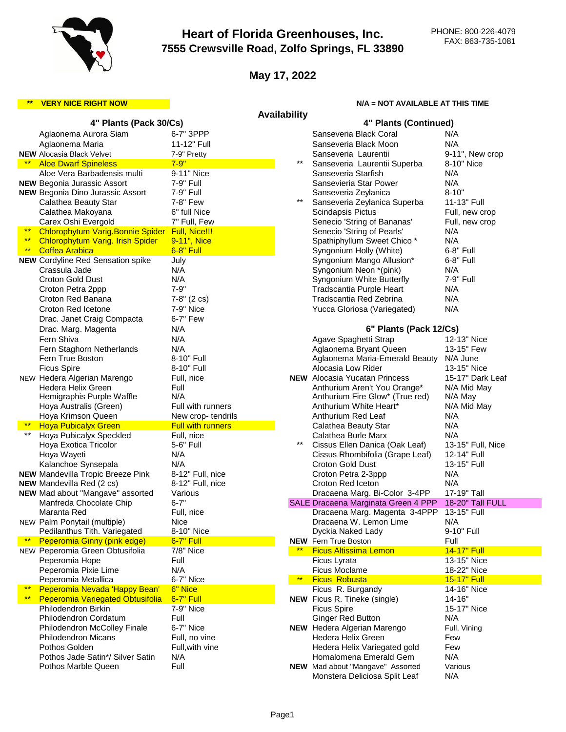

# **Heart of Florida Greenhouses, Inc. 7555 Crewsville Road, Zolfo Springs, FL 33890**

**May 17, 2022**

## **\*\*** VERY NICE RIGHT NOW N/A = NOT AVAILABLE AT THIS TIME

| <b>Availability</b> |                                                      |                          |              |                                                                   |                          |  |  |  |
|---------------------|------------------------------------------------------|--------------------------|--------------|-------------------------------------------------------------------|--------------------------|--|--|--|
|                     | 4" Plants (Pack 30/Cs)                               |                          |              | 4" Plants (Continued)                                             |                          |  |  |  |
|                     | Aglaonema Aurora Siam                                | 6-7" 3PPP                |              | Sanseveria Black Coral                                            | N/A                      |  |  |  |
|                     | Aglaonema Maria                                      | 11-12" Full              |              | Sanseveria Black Moon                                             | N/A                      |  |  |  |
|                     | <b>NEW</b> Alocasia Black Velvet                     | 7-9" Pretty              |              | Sanseveria Laurentii                                              | 9-11", New crop          |  |  |  |
|                     | <b>Aloe Dwarf Spineless</b>                          | $7 - 9"$                 | $***$        | Sanseveria Laurentii Superba                                      | 8-10" Nice               |  |  |  |
|                     | Aloe Vera Barbadensis multi                          | 9-11" Nice               |              | Sanseveria Starfish                                               | N/A                      |  |  |  |
|                     | <b>NEW Begonia Jurassic Assort</b>                   | 7-9" Full                |              | Sansevieria Star Power                                            | N/A                      |  |  |  |
|                     | <b>NEW Begonia Dino Jurassic Assort</b>              | 7-9" Full                |              | Sanseveria Zeylanica                                              | $8 - 10"$                |  |  |  |
|                     | Calathea Beauty Star                                 | 7-8" Few                 | $***$        | Sanseveria Zeylanica Superba                                      | 11-13" Full              |  |  |  |
|                     | Calathea Makoyana                                    | 6" full Nice             |              | Scindapsis Pictus                                                 | Full, new crop           |  |  |  |
|                     | Carex Oshi Evergold                                  | 7" Full, Few             |              | Senecio 'String of Bananas'                                       | Full, new crop           |  |  |  |
| $***$               | Chlorophytum Varig. Bonnie Spider                    | Full, Nice!!!            |              | Senecio 'String of Pearls'                                        | N/A                      |  |  |  |
| $***$               | <b>Chlorophytum Varig. Irish Spider</b>              | 9-11", Nice              |              | Spathiphyllum Sweet Chico*                                        | N/A                      |  |  |  |
| $***$               | <b>Coffea Arabica</b>                                | 6-8" Full                |              | Syngonium Holly (White)                                           | 6-8" Full                |  |  |  |
|                     | <b>NEW Cordyline Red Sensation spike</b>             | July                     |              | Syngonium Mango Allusion*                                         | 6-8" Full                |  |  |  |
|                     | Crassula Jade                                        | N/A                      |              | Syngonium Neon *(pink)                                            | N/A                      |  |  |  |
|                     | Croton Gold Dust                                     | N/A                      |              | Syngonium White Butterfly                                         | 7-9" Full                |  |  |  |
|                     | Croton Petra 2ppp                                    | $7 - 9"$                 |              | Tradscantia Purple Heart                                          | N/A                      |  |  |  |
|                     | Croton Red Banana                                    | $7-8$ " (2 cs)           |              | Tradscantia Red Zebrina                                           | N/A                      |  |  |  |
|                     | Croton Red Icetone                                   | 7-9" Nice                |              | Yucca Gloriosa (Variegated)                                       | N/A                      |  |  |  |
|                     | Drac. Janet Craig Compacta                           | 6-7" Few                 |              |                                                                   |                          |  |  |  |
|                     | N/A<br>6" Plants (Pack 12/Cs)<br>Drac. Marg. Magenta |                          |              |                                                                   |                          |  |  |  |
|                     | Fern Shiva                                           | N/A                      |              | Agave Spaghetti Strap                                             | 12-13" Nice              |  |  |  |
|                     | Fern Staghorn Netherlands                            | N/A                      |              | Aglaonema Bryant Queen                                            | 13-15" Few               |  |  |  |
|                     | Fern True Boston                                     | 8-10" Full               |              | Aglaonema Maria-Emerald Beauty                                    | N/A June                 |  |  |  |
|                     | <b>Ficus Spire</b>                                   | 8-10" Full               |              | Alocasia Low Rider                                                | 13-15" Nice              |  |  |  |
|                     | NEW Hedera Algerian Marengo                          | Full, nice               |              | <b>NEW</b> Alocasia Yucatan Princess                              | 15-17" Dark Leaf         |  |  |  |
|                     | Hedera Helix Green                                   | Full                     |              | Anthurium Aren't You Orange*                                      | N/A Mid May              |  |  |  |
|                     | Hemigraphis Purple Waffle                            | N/A                      |              | Anthurium Fire Glow* (True red)                                   | N/A May                  |  |  |  |
|                     | Hoya Australis (Green)                               | Full with runners        |              | Anthurium White Heart*                                            | N/A Mid May              |  |  |  |
|                     | Hoya Krimson Queen                                   | New crop-tendrils        |              | Anthurium Red Leaf                                                | N/A                      |  |  |  |
| $\star\star$        | <b>Hoya Pubicalyx Green</b>                          | <b>Full with runners</b> |              | Calathea Beauty Star                                              | N/A                      |  |  |  |
|                     | Hoya Pubicalyx Speckled                              | Full, nice<br>5-6" Full  | $***$        | Calathea Burle Marx                                               | N/A<br>13-15" Full, Nice |  |  |  |
|                     | Hoya Exotica Tricolor<br>Hoya Wayeti                 | N/A                      |              | Cissus Ellen Danica (Oak Leaf)<br>Cissus Rhombifolia (Grape Leaf) | 12-14" Full              |  |  |  |
|                     | Kalanchoe Synsepala                                  | N/A                      |              | <b>Croton Gold Dust</b>                                           | 13-15" Full              |  |  |  |
|                     | <b>NEW Mandevilla Tropic Breeze Pink</b>             | 8-12" Full, nice         |              | Croton Petra 2-3ppp                                               | N/A                      |  |  |  |
|                     | <b>NEW</b> Mandevilla Red (2 cs)                     | 8-12" Full, nice         |              | Croton Red Iceton                                                 | N/A                      |  |  |  |
|                     | NEW Mad about "Mangave" assorted                     | Various                  |              | Dracaena Marg. Bi-Color 3-4PP                                     | 17-19" Tall              |  |  |  |
|                     | Manfreda Chocolate Chip                              | $6 - 7"$                 |              | SALE Dracaena Marginata Green 4 PPP                               | 18-20" Tall FULL         |  |  |  |
|                     | Maranta Red                                          | Full, nice               |              | Dracaena Marg. Magenta 3-4PPP                                     | 13-15" Full              |  |  |  |
|                     | NEW Palm Ponytail (multiple)                         | Nice                     |              | Dracaena W. Lemon Lime                                            | N/A                      |  |  |  |
|                     | Pedilanthus Tith. Variegated                         | 8-10" Nice               |              | Dyckia Naked Lady                                                 | 9-10" Full               |  |  |  |
|                     | Peperomia Ginny (pink edge)                          | 6-7" Full                |              | <b>NEW</b> Fern True Boston                                       | Full                     |  |  |  |
|                     | NEW Peperomia Green Obtusifolia                      | 7/8" Nice                |              | <b>Ficus Altissima Lemon</b>                                      | 14-17" Full              |  |  |  |
|                     | Peperomia Hope                                       | Full                     |              | Ficus Lyrata                                                      | 13-15" Nice              |  |  |  |
|                     | Peperomia Pixie Lime                                 | N/A                      |              | <b>Ficus Moclame</b>                                              | 18-22" Nice              |  |  |  |
|                     | Peperomia Metallica                                  | 6-7" Nice                | $\star\star$ | <b>Ficus Robusta</b>                                              | 15-17" Full              |  |  |  |
| $***$               | Peperomia Nevada 'Happy Bean'                        | 6" Nice                  |              | Ficus R. Burgandy                                                 | 14-16" Nice              |  |  |  |
| $***$               | <b>Peperomia Variegated Obtusifolia</b>              | 6-7" Full                |              | <b>NEW</b> Ficus R. Tineke (single)                               | $14 - 16"$               |  |  |  |
|                     | <b>Philodendron Birkin</b>                           | 7-9" Nice                |              | <b>Ficus Spire</b>                                                | 15-17" Nice              |  |  |  |
|                     | Philodendron Cordatum                                | Full                     |              | <b>Ginger Red Button</b>                                          | N/A                      |  |  |  |
|                     | <b>Philodendron McColley Finale</b>                  | 6-7" Nice                |              | <b>NEW</b> Hedera Algerian Marengo                                | Full, Vining             |  |  |  |
|                     | <b>Philodendron Micans</b>                           | Full, no vine            |              | Hedera Helix Green                                                | Few                      |  |  |  |
|                     | Pothos Golden                                        | Full, with vine          |              | Hedera Helix Variegated gold                                      | Few                      |  |  |  |
|                     | Pothos Jade Satin*/ Silver Satin                     | N/A                      |              | Homalomena Emerald Gem                                            | N/A                      |  |  |  |
|                     | Pothos Marble Queen                                  | Full                     |              | NEW Mad about "Mangave" Assorted                                  | Various                  |  |  |  |
|                     |                                                      |                          |              | Monstera Deliciosa Split Leaf                                     | N/A                      |  |  |  |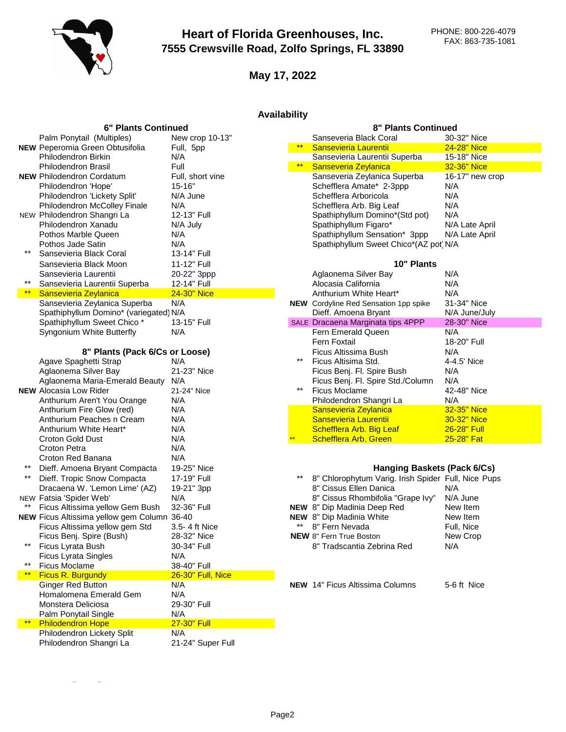

**May 17, 2022**

## **Availability**

|       | <b>6" Plants Continued</b>                  |                   |       | <b>8" Plants Continued</b>                          |                 |  |  |
|-------|---------------------------------------------|-------------------|-------|-----------------------------------------------------|-----------------|--|--|
|       | Palm Ponytail (Multiples)                   | New crop 10-13"   |       | Sanseveria Black Coral                              | 30-32" Nice     |  |  |
|       | <b>NEW Peperomia Green Obtusifolia</b>      | Full, 5pp         | $***$ | Sansevieria Laurentii                               | 24-28" Nice     |  |  |
|       | <b>Philodendron Birkin</b>                  | N/A               |       | Sansevieria Laurentii Superba                       | 15-18" Nice     |  |  |
|       | Philodendron Brasil                         | Full              | $***$ | Sanseveria Zeylanica                                | 32-36" Nice     |  |  |
|       | <b>NEW Philodendron Cordatum</b>            | Full, short vine  |       | Sanseveria Zeylanica Superba                        | 16-17" new crop |  |  |
|       | Philodendron 'Hope'                         | $15 - 16"$        |       | Schefflera Amate* 2-3ppp                            | N/A             |  |  |
|       | Philodendron 'Lickety Split'                | N/A June          |       | Schefflera Arboricola                               | N/A             |  |  |
|       | Philodendron McColley Finale                | N/A               |       | Schefflera Arb. Big Leaf                            | N/A             |  |  |
|       | NEW Philodendron Shangri La                 | 12-13" Full       |       | Spathiphyllum Domino*(Std pot)                      | N/A             |  |  |
|       | Philodendron Xanadu                         | N/A July          |       | Spathiphyllum Figaro*                               | N/A Late April  |  |  |
|       | Pothos Marble Queen                         | N/A               |       | Spathiphyllum Sensation* 3ppp                       | N/A Late April  |  |  |
|       | Pothos Jade Satin                           | N/A               |       | Spathiphyllum Sweet Chico*(AZ pot N/A               |                 |  |  |
| $***$ | Sansevieria Black Coral                     | 13-14" Full       |       |                                                     |                 |  |  |
|       | Sansevieria Black Moon                      | 11-12" Full       |       | 10" Plants                                          |                 |  |  |
|       | Sansevieria Laurentii                       | 20-22" 3ppp       |       | Aglaonema Silver Bay                                | N/A             |  |  |
| $***$ | Sansevieria Laurentii Superba               | 12-14" Full       |       | Alocasia California                                 | N/A             |  |  |
| $***$ | Sansevieria Zeylanica                       | 24-30" Nice       |       | Anthurium White Heart*                              | N/A             |  |  |
|       | Sansevieria Zeylanica Superba               | N/A               |       | <b>NEW</b> Cordyline Red Sensation 1pp spike        | 31-34" Nice     |  |  |
|       | Spathiphyllum Domino* (variegated) N/A      |                   |       | Dieff. Amoena Bryant                                | N/A June/July   |  |  |
|       | Spathiphyllum Sweet Chico*                  | 13-15" Full       |       | SALE Dracaena Marginata tips 4PPP                   | 28-30" Nice     |  |  |
|       | Syngonium White Butterfly                   | N/A               |       | Fern Emerald Queen                                  | N/A             |  |  |
|       |                                             |                   |       | <b>Fern Foxtail</b>                                 | 18-20" Full     |  |  |
|       | 8" Plants (Pack 6/Cs or Loose)              |                   |       | Ficus Altissima Bush                                | N/A             |  |  |
|       | Agave Spaghetti Strap                       | N/A               | $***$ | Ficus Altisima Std.                                 | 4-4.5' Nice     |  |  |
|       | Aglaonema Silver Bay                        | 21-23" Nice       |       | Ficus Benj. Fl. Spire Bush                          | N/A             |  |  |
|       | Aglaonema Maria-Emerald Beauty              | N/A               |       | Ficus Benj. Fl. Spire Std./Column                   | N/A             |  |  |
|       | <b>NEW</b> Alocasia Low Rider               | 21-24" Nice       | $***$ | <b>Ficus Moclame</b>                                | 42-48" Nice     |  |  |
|       | Anthurium Aren't You Orange                 | N/A               |       | Philodendron Shangri La                             | N/A             |  |  |
|       | Anthurium Fire Glow (red)                   | N/A               |       | Sansevieria Zeylanica                               | 32-35" Nice     |  |  |
|       | Anthurium Peaches n Cream                   | N/A               |       | Sansevieria Laurentii                               | 30-32" Nice     |  |  |
|       | Anthurium White Heart*                      | N/A               |       | Schefflera Arb. Big Leaf                            | 26-28" Full     |  |  |
|       | Croton Gold Dust                            | N/A               |       | <b>Schefflera Arb. Green</b>                        | 25-28" Fat      |  |  |
|       | <b>Croton Petra</b>                         | N/A               |       |                                                     |                 |  |  |
|       | Croton Red Banana                           | N/A               |       |                                                     |                 |  |  |
| $***$ | Dieff. Amoena Bryant Compacta               | 19-25" Nice       |       | Hanging Baskets (Pack 6/Cs)                         |                 |  |  |
| $***$ | Dieff. Tropic Snow Compacta                 | 17-19" Full       |       | 8" Chlorophytum Varig. Irish Spider Full, Nice Pups |                 |  |  |
|       | Dracaena W. 'Lemon Lime' (AZ)               | 19-21" 3pp        |       | 8" Cissus Ellen Danica                              | N/A             |  |  |
|       | NEW Fatsia 'Spider Web'                     | N/A               |       | 8" Cissus Rhombifolia "Grape Ivy"                   | N/A June        |  |  |
|       | Ficus Altissima yellow Gem Bush             | 32-36" Full       |       | NEW 8" Dip Madinia Deep Red                         | New Item        |  |  |
|       | NEW Ficus Altissima yellow gem Column 36-40 |                   |       | NEW 8" Dip Madinia White                            | New Item        |  |  |
|       | Ficus Altissima yellow gem Std              | 3.5-4 ft Nice     | **    | 8" Fern Nevada                                      | Full, Nice      |  |  |
|       | Ficus Benj. Spire (Bush)                    | 28-32" Nice       |       | NEW 8" Fern True Boston                             | New Crop        |  |  |
| **    | Ficus Lyrata Bush                           | 30-34" Full       |       | 8" Tradscantia Zebrina Red                          | N/A             |  |  |
|       | <b>Ficus Lyrata Singles</b>                 | N/A               |       |                                                     |                 |  |  |
| $***$ | <b>Ficus Moclame</b>                        | 38-40" Full       |       |                                                     |                 |  |  |
| $***$ | <b>Ficus R. Burgundy</b>                    | 26-30" Full, Nice |       |                                                     |                 |  |  |
|       | <b>Ginger Red Button</b>                    | N/A               |       | <b>NEW 14" Ficus Altissima Columns</b>              | 5-6 ft Nice     |  |  |
|       | Homalomena Emerald Gem                      | N/A               |       |                                                     |                 |  |  |
|       | Monstera Deliciosa                          | 29-30" Full       |       |                                                     |                 |  |  |
|       | Palm Ponytail Single                        | N/A               |       |                                                     |                 |  |  |
| $***$ | <b>Philodendron Hope</b>                    | 27-30" Full       |       |                                                     |                 |  |  |
|       | Philodendron Lickety Split                  | N/A               |       |                                                     |                 |  |  |
|       | Philodendron Shangri La                     | 21-24" Super Full |       |                                                     |                 |  |  |